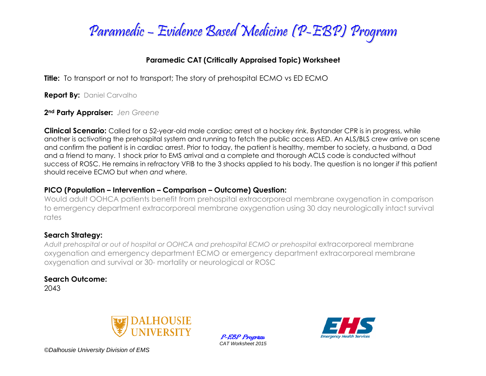

### **Paramedic CAT (Critically Appraised Topic) Worksheet**

**Title:** To transport or not to transport; The story of prehospital ECMO vs ED ECMO

**Report By:** Daniel Carvalho

**2nd Party Appraiser:** *Jen Greene*

**Clinical Scenario:** Called for a 52-year-old male cardiac arrest at a hockey rink. Bystander CPR is in progress, while another is activating the prehospital system and running to fetch the public access AED. An ALS/BLS crew arrive on scene and confirm the patient is in cardiac arrest. Prior to today, the patient is healthy, member to society, a husband, a Dad and a friend to many. 1 shock prior to EMS arrival and a complete and thorough ACLS code is conducted without success of ROSC. He remains in refractory VFIB to the 3 shocks applied to his body. The question is no longer *if* this patient should receive ECMO but *when and where.* 

#### **PICO (Population – Intervention – Comparison – Outcome) Question:**

Would adult OOHCA patients benefit from prehospital extracorporeal membrane oxygenation in comparison to emergency department extracorporeal membrane oxygenation using 30 day neurologically intact survival rates

### **Search Strategy:**

Adult prehospital or out of hospital or OOHCA and prehospital ECMO or prehospital extracorporeal membrane oxygenation and emergency department ECMO or emergency department extracorporeal membrane oxygenation and survival or 30- mortality or neurological or ROSC

## **Search Outcome:**

2043



P-EBP Program *CAT Worksheet 2015*



*©Dalhousie University Division of EMS*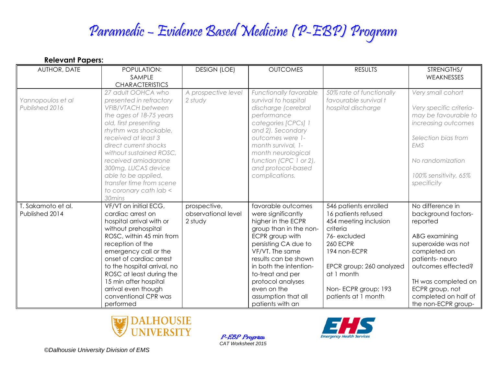# Paramedic – Evidence Based Medicine (P-EBP) Program

| VEIGAMII I ANGIS'  |                             |                     |                        |                          |                         |  |  |  |  |
|--------------------|-----------------------------|---------------------|------------------------|--------------------------|-------------------------|--|--|--|--|
| AUTHOR, DATE       | POPULATION:                 | <b>DESIGN (LOE)</b> | <b>OUTCOMES</b>        | <b>RESULTS</b>           | STRENGTHS/              |  |  |  |  |
|                    | SAMPLE                      |                     |                        |                          | WEAKNESSES              |  |  |  |  |
|                    | <b>CHARACTERISTICS</b>      |                     |                        |                          |                         |  |  |  |  |
|                    | 27 adult OOHCA who          | A prospective level | Functionally favorable | 50% rate of functionally | Very small cohort       |  |  |  |  |
| Yannopoulos et al  | presented in refractory     | 2 study             | survival to hospital   | favourable survival t    |                         |  |  |  |  |
| Published 2016     | <b>VFIB/VTACH between</b>   |                     | discharge (cerebral    | hospital discharge       | Very specific criteria- |  |  |  |  |
|                    | the ages of 18-75 years     |                     | performance            |                          | may be favourable to    |  |  |  |  |
|                    | old, first presenting       |                     | categories [CPCs] 1    |                          | increasing outcomes     |  |  |  |  |
|                    | rhythm was shockable,       |                     | and 2). Secondary      |                          |                         |  |  |  |  |
|                    | received at least 3         |                     | outcomes were 1-       |                          | Selection bias from     |  |  |  |  |
|                    | direct current shocks       |                     | month survival, 1-     |                          | EMS                     |  |  |  |  |
|                    | without sustained ROSC,     |                     | month neurological     |                          |                         |  |  |  |  |
|                    | received amiodarone         |                     | function (CPC 1 or 2), |                          | No randomization        |  |  |  |  |
|                    | 300mg, LUCAS device         |                     | and protocol-based     |                          |                         |  |  |  |  |
|                    | able to be applied,         |                     | complications.         |                          | 100% sensitivity, 65%   |  |  |  |  |
|                    | transfer time from scene    |                     |                        |                          | specificity             |  |  |  |  |
|                    | to coronary cath lab <      |                     |                        |                          |                         |  |  |  |  |
|                    | 30mins                      |                     |                        |                          |                         |  |  |  |  |
| T. Sakamoto et al. | VF/VT on initial ECG,       | prospective,        | favorable outcomes     | 546 patients enrolled    | No difference in        |  |  |  |  |
| Published 2014     | cardiac arrest on           | observational level | were significantly     | 16 patients refused      | background factors-     |  |  |  |  |
|                    | hospital arrival with or    | 2 study             | higher in the ECPR     | 454 meeting inclusion    | reported                |  |  |  |  |
|                    | without prehospital         |                     | group than in the non- | criteria                 |                         |  |  |  |  |
|                    | ROSC, within 45 min from    |                     | ECPR group with        | 76-excluded              | ABG examining           |  |  |  |  |
|                    | reception of the            |                     | persisting CA due to   | <b>260 ECPR</b>          | superoxide was not      |  |  |  |  |
|                    | emergency call or the       |                     | VF/VT. The same        | 194 non-ECPR             | completed on            |  |  |  |  |
|                    | onset of cardiac arrest     |                     | results can be shown   |                          | patients-neuro          |  |  |  |  |
|                    | to the hospital arrival, no |                     | in both the intention- | EPCR group; 260 analyzed | outcomes effected?      |  |  |  |  |
|                    | ROSC at least during the    |                     | to-treat and per       | at 1 month               |                         |  |  |  |  |
|                    | 15 min after hospital       |                     | protocol analyses      |                          | TH was completed on     |  |  |  |  |
|                    | arrival even though         |                     | even on the            | Non-ECPR group; 193      | ECPR group, not         |  |  |  |  |
|                    | conventional CPR was        |                     | assumption that all    | patients at 1 month      | completed on half of    |  |  |  |  |
|                    | performed                   |                     | patients with an       |                          | the non-ECPR group-     |  |  |  |  |



P-EBP Program *CAT Worksheet 2015*



*©Dalhousie University Division of EMS*

**Relevant Papers:**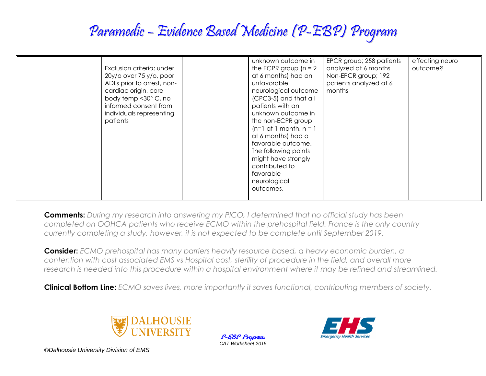## Paramedic – Evidence Based Medicine (P-EBP) Program

| Exclusion criteria; under<br>$20y$ /o over 75 y/o, poor<br>ADLs prior to arrest, non-<br>cardiac origin, core<br>body temp < 30° C, no<br>informed consent from<br>individuals representing<br>patients | unknown outcome in<br>the ECPR group $(n = 2)$<br>at 6 months) had an<br>unfavorable<br>neurological outcome<br>(CPC3-5) and that all<br>patients with an<br>unknown outcome in<br>the non-ECPR group<br>$(n=1$ at 1 month, $n=1$<br>at 6 months) had a<br>favorable outcome.<br>The following points<br>might have strongly<br>contributed to | EPCR group; 258 patients<br>analyzed at 6 months<br>Non-EPCR group; 192<br>patients analyzed at 6<br>months | effecting neuro<br>outcome? |
|---------------------------------------------------------------------------------------------------------------------------------------------------------------------------------------------------------|------------------------------------------------------------------------------------------------------------------------------------------------------------------------------------------------------------------------------------------------------------------------------------------------------------------------------------------------|-------------------------------------------------------------------------------------------------------------|-----------------------------|
|                                                                                                                                                                                                         | favorable<br>neurological<br>outcomes.                                                                                                                                                                                                                                                                                                         |                                                                                                             |                             |

**Comments:** *During my research into answering my PICO, I determined that no official study has been completed on OOHCA patients who receive ECMO within the prehospital field. France is the only country currently completing a study, however, it is not expected to be complete until September 2019.*

**Consider:** *ECMO prehospital has many barriers heavily resource based, a heavy economic burden, a contention with cost associated EMS vs Hospital cost, sterility of procedure in the field, and overall more research is needed into this procedure within a hospital environment where it may be refined and streamlined.*

**Clinical Bottom Line:** *ECMO saves lives, more importantly it saves functional, contributing members of society.*



P-EBP Program *CAT Worksheet 2015*



*©Dalhousie University Division of EMS*